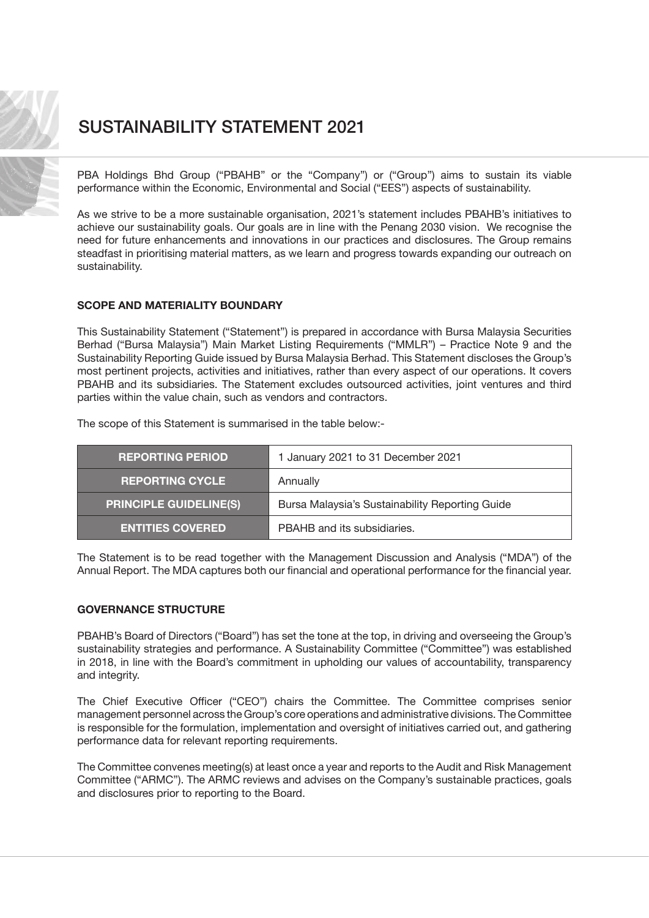

PBA Holdings Bhd Group ("PBAHB" or the "Company") or ("Group") aims to sustain its viable performance within the Economic, Environmental and Social ("EES") aspects of sustainability.

As we strive to be a more sustainable organisation, 2021's statement includes PBAHB's initiatives to achieve our sustainability goals. Our goals are in line with the Penang 2030 vision. We recognise the need for future enhancements and innovations in our practices and disclosures. The Group remains steadfast in prioritising material matters, as we learn and progress towards expanding our outreach on sustainability.

### SCOPE AND MATERIALITY BOUNDARY

This Sustainability Statement ("Statement") is prepared in accordance with Bursa Malaysia Securities Berhad ("Bursa Malaysia") Main Market Listing Requirements ("MMLR") – Practice Note 9 and the Sustainability Reporting Guide issued by Bursa Malaysia Berhad. This Statement discloses the Group's most pertinent projects, activities and initiatives, rather than every aspect of our operations. It covers PBAHB and its subsidiaries. The Statement excludes outsourced activities, joint ventures and third parties within the value chain, such as vendors and contractors.

The scope of this Statement is summarised in the table below:-

| <b>REPORTING PERIOD</b>       | 1 January 2021 to 31 December 2021              |  |  |
|-------------------------------|-------------------------------------------------|--|--|
| <b>REPORTING CYCLE</b>        | Annually                                        |  |  |
| <b>PRINCIPLE GUIDELINE(S)</b> | Bursa Malaysia's Sustainability Reporting Guide |  |  |
| <b>ENTITIES COVERED</b>       | PBAHB and its subsidiaries.                     |  |  |

The Statement is to be read together with the Management Discussion and Analysis ("MDA") of the Annual Report. The MDA captures both our financial and operational performance for the financial year.

### GOVERNANCE STRUCTURE

PBAHB's Board of Directors ("Board") has set the tone at the top, in driving and overseeing the Group's sustainability strategies and performance. A Sustainability Committee ("Committee") was established in 2018, in line with the Board's commitment in upholding our values of accountability, transparency and integrity.

The Chief Executive Officer ("CEO") chairs the Committee. The Committee comprises senior management personnel across the Group's core operations and administrative divisions. The Committee is responsible for the formulation, implementation and oversight of initiatives carried out, and gathering performance data for relevant reporting requirements.

The Committee convenes meeting(s) at least once a year and reports to the Audit and Risk Management Committee ("ARMC"). The ARMC reviews and advises on the Company's sustainable practices, goals and disclosures prior to reporting to the Board.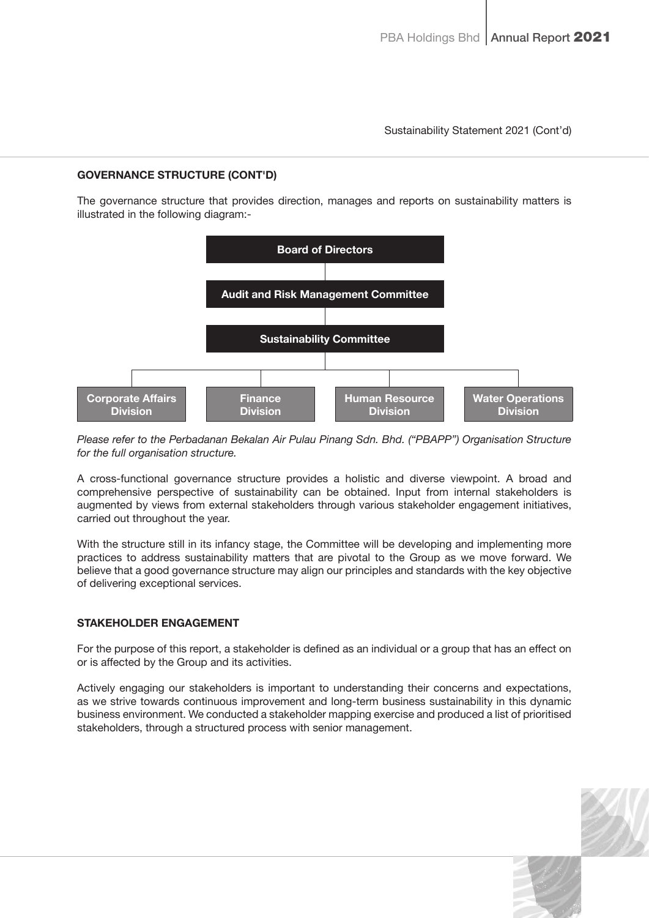## GOVERNANCE STRUCTURE (CONT'D)

The governance structure that provides direction, manages and reports on sustainability matters is illustrated in the following diagram:-



Please refer to the Perbadanan Bekalan Air Pulau Pinang Sdn. Bhd. ("PBAPP") Organisation Structure for the full organisation structure.

A cross-functional governance structure provides a holistic and diverse viewpoint. A broad and comprehensive perspective of sustainability can be obtained. Input from internal stakeholders is augmented by views from external stakeholders through various stakeholder engagement initiatives, carried out throughout the year.

With the structure still in its infancy stage, the Committee will be developing and implementing more practices to address sustainability matters that are pivotal to the Group as we move forward. We believe that a good governance structure may align our principles and standards with the key objective of delivering exceptional services.

## STAKEHOLDER ENGAGEMENT

For the purpose of this report, a stakeholder is defined as an individual or a group that has an effect on or is affected by the Group and its activities.

Actively engaging our stakeholders is important to understanding their concerns and expectations, as we strive towards continuous improvement and long-term business sustainability in this dynamic business environment. We conducted a stakeholder mapping exercise and produced a list of prioritised stakeholders, through a structured process with senior management.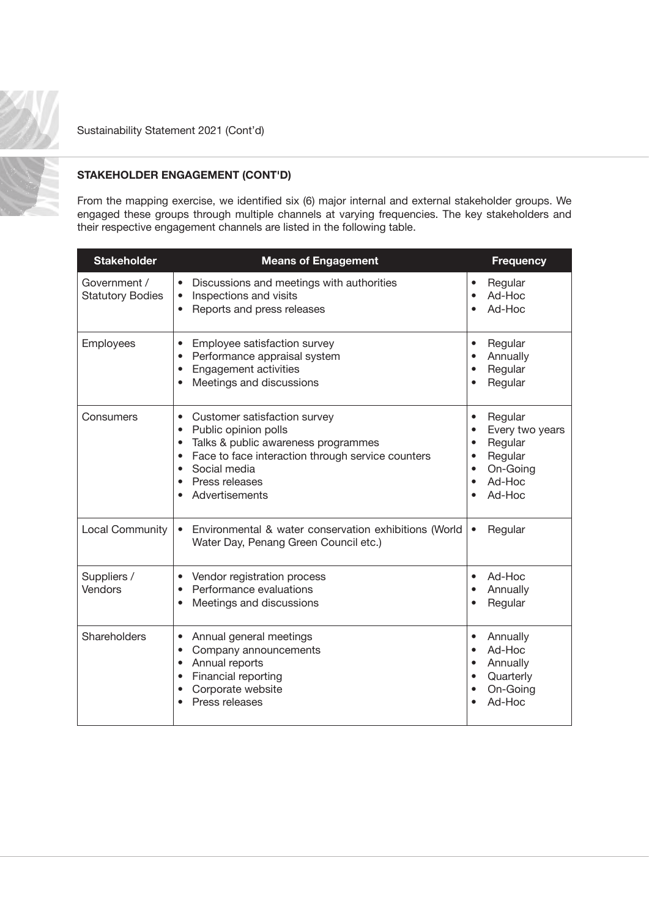

# STAKEHOLDER ENGAGEMENT (CONT'D)

From the mapping exercise, we identified six (6) major internal and external stakeholder groups. We engaged these groups through multiple channels at varying frequencies. The key stakeholders and their respective engagement channels are listed in the following table.

| <b>Stakeholder</b>                      | <b>Means of Engagement</b>                                                                                                                                                                                                                                                                      | <b>Frequency</b>                                                                                                                                  |
|-----------------------------------------|-------------------------------------------------------------------------------------------------------------------------------------------------------------------------------------------------------------------------------------------------------------------------------------------------|---------------------------------------------------------------------------------------------------------------------------------------------------|
| Government /<br><b>Statutory Bodies</b> | Discussions and meetings with authorities<br>$\bullet$<br>Inspections and visits<br>$\bullet$<br>Reports and press releases<br>$\bullet$                                                                                                                                                        | Regular<br>$\bullet$<br>Ad-Hoc<br>Ad-Hoc                                                                                                          |
| Employees                               | Employee satisfaction survey<br>$\bullet$<br>Performance appraisal system<br>$\bullet$<br><b>Engagement activities</b><br>$\bullet$<br>Meetings and discussions<br>$\bullet$                                                                                                                    | Regular<br>$\bullet$<br>Annually<br>$\bullet$<br>Regular<br>$\bullet$<br>Regular<br>$\bullet$                                                     |
| Consumers                               | Customer satisfaction survey<br>$\bullet$<br>Public opinion polls<br>$\bullet$<br>Talks & public awareness programmes<br>$\bullet$<br>Face to face interaction through service counters<br>$\bullet$<br>Social media<br>$\bullet$<br>Press releases<br>$\bullet$<br>Advertisements<br>$\bullet$ | Regular<br>$\bullet$<br>Every two years<br>$\bullet$<br>Regular<br>$\bullet$<br>Regular<br>$\bullet$<br>On-Going<br>Ad-Hoc<br>$\bullet$<br>Ad-Hoc |
| <b>Local Community</b>                  | Environmental & water conservation exhibitions (World<br>$\bullet$<br>Water Day, Penang Green Council etc.)                                                                                                                                                                                     | Regular<br>$\bullet$                                                                                                                              |
| Suppliers /<br>Vendors                  | Vendor registration process<br>$\bullet$<br>Performance evaluations<br>$\bullet$<br>Meetings and discussions<br>$\bullet$                                                                                                                                                                       | Ad-Hoc<br>Annually<br>Regular                                                                                                                     |
| Shareholders                            | Annual general meetings<br>$\bullet$<br>Company announcements<br>$\bullet$<br>Annual reports<br>$\bullet$<br>Financial reporting<br>$\bullet$<br>Corporate website<br>$\bullet$<br>Press releases                                                                                               | Annually<br>$\bullet$<br>Ad-Hoc<br>$\bullet$<br>Annually<br>Quarterly<br>$\bullet$<br>On-Going<br>$\bullet$<br>Ad-Hoc                             |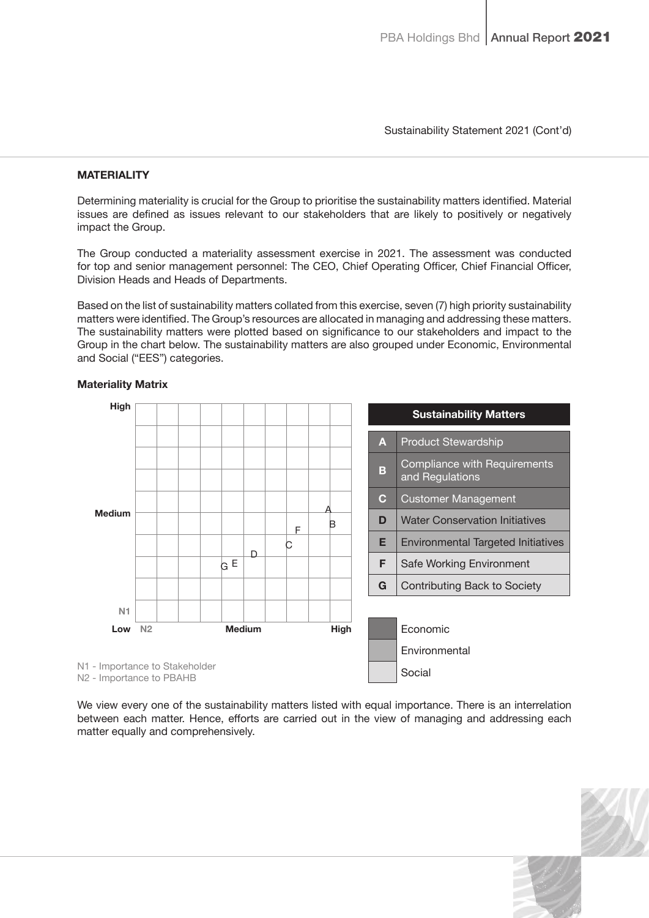## **MATERIALITY**

Determining materiality is crucial for the Group to prioritise the sustainability matters identified. Material issues are defined as issues relevant to our stakeholders that are likely to positively or negatively impact the Group.

The Group conducted a materiality assessment exercise in 2021. The assessment was conducted for top and senior management personnel: The CEO, Chief Operating Officer, Chief Financial Officer, Division Heads and Heads of Departments.

Based on the list of sustainability matters collated from this exercise, seven (7) high priority sustainability matters were identified. The Group's resources are allocated in managing and addressing these matters. The sustainability matters were plotted based on significance to our stakeholders and impact to the Group in the chart below. The sustainability matters are also grouped under Economic, Environmental and Social ("EES") categories.



#### Materiality Matrix

We view every one of the sustainability matters listed with equal importance. There is an interrelation between each matter. Hence, efforts are carried out in the view of managing and addressing each matter equally and comprehensively.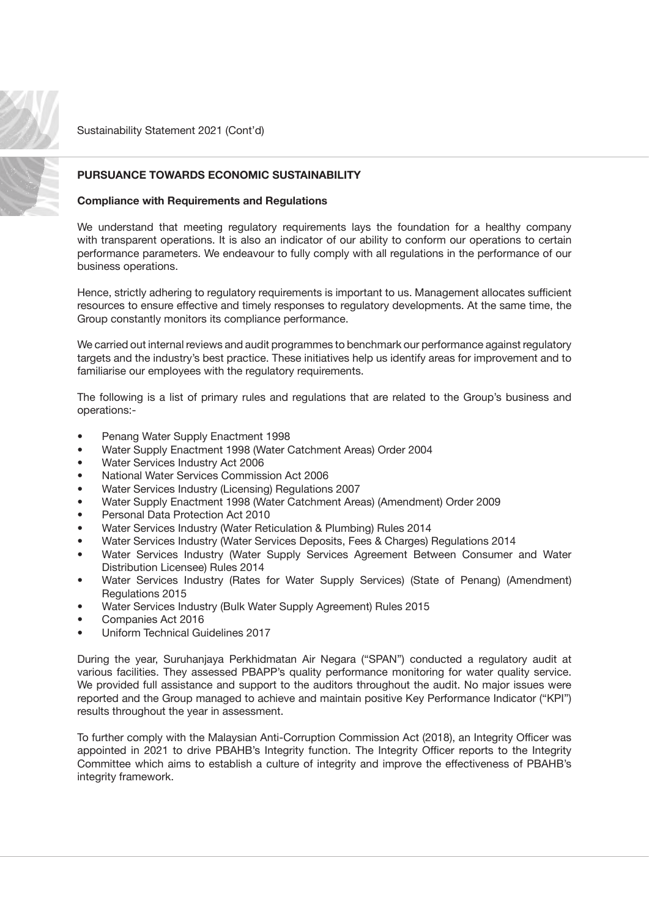

## PURSUANCE TOWARDS ECONOMIC SUSTAINABILITY

#### Compliance with Requirements and Regulations

We understand that meeting regulatory requirements lays the foundation for a healthy company with transparent operations. It is also an indicator of our ability to conform our operations to certain performance parameters. We endeavour to fully comply with all regulations in the performance of our business operations.

Hence, strictly adhering to regulatory requirements is important to us. Management allocates sufficient resources to ensure effective and timely responses to regulatory developments. At the same time, the Group constantly monitors its compliance performance.

We carried out internal reviews and audit programmes to benchmark our performance against regulatory targets and the industry's best practice. These initiatives help us identify areas for improvement and to familiarise our employees with the regulatory requirements.

The following is a list of primary rules and regulations that are related to the Group's business and operations:-

- Penang Water Supply Enactment 1998
- Water Supply Enactment 1998 (Water Catchment Areas) Order 2004
- Water Services Industry Act 2006
- National Water Services Commission Act 2006
- Water Services Industry (Licensing) Regulations 2007
- Water Supply Enactment 1998 (Water Catchment Areas) (Amendment) Order 2009
- Personal Data Protection Act 2010
- Water Services Industry (Water Reticulation & Plumbing) Rules 2014
- Water Services Industry (Water Services Deposits, Fees & Charges) Regulations 2014
- Water Services Industry (Water Supply Services Agreement Between Consumer and Water Distribution Licensee) Rules 2014
- Water Services Industry (Rates for Water Supply Services) (State of Penang) (Amendment) Regulations 2015
- Water Services Industry (Bulk Water Supply Agreement) Rules 2015
- Companies Act 2016
- Uniform Technical Guidelines 2017

During the year, Suruhanjaya Perkhidmatan Air Negara ("SPAN") conducted a regulatory audit at various facilities. They assessed PBAPP's quality performance monitoring for water quality service. We provided full assistance and support to the auditors throughout the audit. No major issues were reported and the Group managed to achieve and maintain positive Key Performance Indicator ("KPI") results throughout the year in assessment.

To further comply with the Malaysian Anti-Corruption Commission Act (2018), an Integrity Officer was appointed in 2021 to drive PBAHB's Integrity function. The Integrity Officer reports to the Integrity Committee which aims to establish a culture of integrity and improve the effectiveness of PBAHB's integrity framework.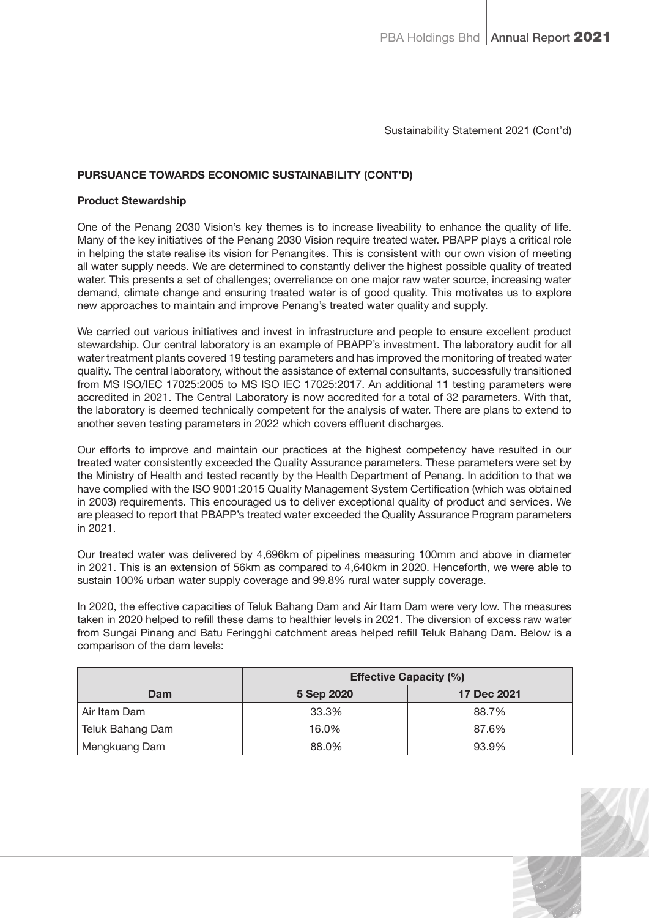## PURSUANCE TOWARDS ECONOMIC SUSTAINABILITY (CONT'D)

### Product Stewardship

One of the Penang 2030 Vision's key themes is to increase liveability to enhance the quality of life. Many of the key initiatives of the Penang 2030 Vision require treated water. PBAPP plays a critical role in helping the state realise its vision for Penangites. This is consistent with our own vision of meeting all water supply needs. We are determined to constantly deliver the highest possible quality of treated water. This presents a set of challenges; overreliance on one major raw water source, increasing water demand, climate change and ensuring treated water is of good quality. This motivates us to explore new approaches to maintain and improve Penang's treated water quality and supply.

We carried out various initiatives and invest in infrastructure and people to ensure excellent product stewardship. Our central laboratory is an example of PBAPP's investment. The laboratory audit for all water treatment plants covered 19 testing parameters and has improved the monitoring of treated water quality. The central laboratory, without the assistance of external consultants, successfully transitioned from MS ISO/IEC 17025:2005 to MS ISO IEC 17025:2017. An additional 11 testing parameters were accredited in 2021. The Central Laboratory is now accredited for a total of 32 parameters. With that, the laboratory is deemed technically competent for the analysis of water. There are plans to extend to another seven testing parameters in 2022 which covers effluent discharges.

Our efforts to improve and maintain our practices at the highest competency have resulted in our treated water consistently exceeded the Quality Assurance parameters. These parameters were set by the Ministry of Health and tested recently by the Health Department of Penang. In addition to that we have complied with the ISO 9001:2015 Quality Management System Certification (which was obtained in 2003) requirements. This encouraged us to deliver exceptional quality of product and services. We are pleased to report that PBAPP's treated water exceeded the Quality Assurance Program parameters in 2021.

Our treated water was delivered by 4,696km of pipelines measuring 100mm and above in diameter in 2021. This is an extension of 56km as compared to 4,640km in 2020. Henceforth, we were able to sustain 100% urban water supply coverage and 99.8% rural water supply coverage.

In 2020, the effective capacities of Teluk Bahang Dam and Air Itam Dam were very low. The measures taken in 2020 helped to refill these dams to healthier levels in 2021. The diversion of excess raw water from Sungai Pinang and Batu Feringghi catchment areas helped refill Teluk Bahang Dam. Below is a comparison of the dam levels:

|                  | <b>Effective Capacity (%)</b> |             |  |
|------------------|-------------------------------|-------------|--|
| Dam              | 5 Sep 2020                    | 17 Dec 2021 |  |
| Air Itam Dam     | 33.3%                         | 88.7%       |  |
| Teluk Bahang Dam | 16.0%                         | 87.6%       |  |
| Mengkuang Dam    | 88.0%                         | 93.9%       |  |

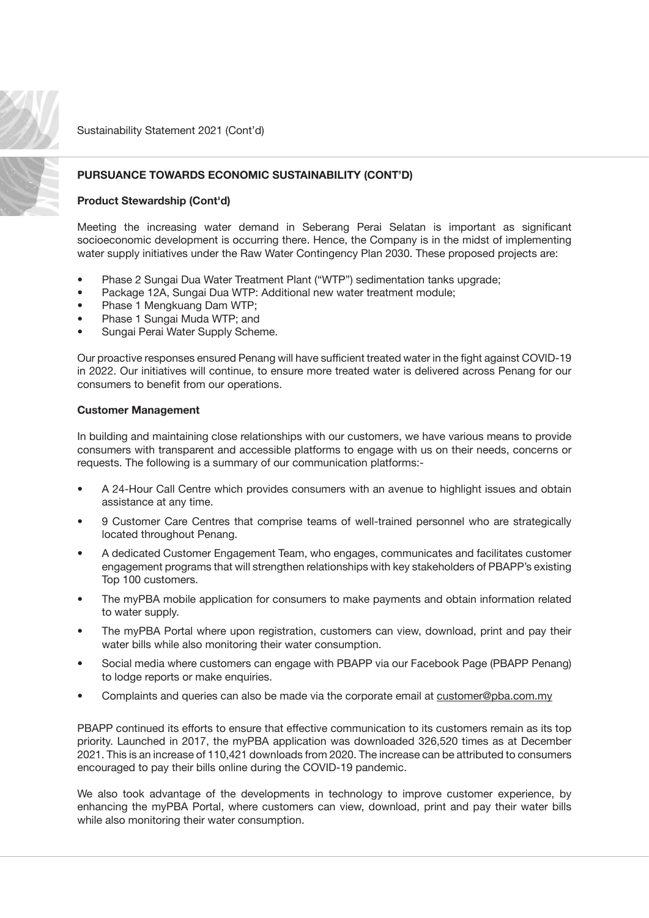

## PURSUANCE TOWARDS ECONOMIC SUSTAINABILITY (CONT'D)

### Product Stewardship (Cont'd)

Meeting the increasing water demand in Seberang Perai Selatan is important as significant socioeconomic development is occurring there. Hence, the Company is in the midst of implementing water supply initiatives under the Raw Water Contingency Plan 2030. These proposed projects are:

- Phase 2 Sungai Dua Water Treatment Plant ("WTP") sedimentation tanks upgrade;
- Package 12A, Sungai Dua WTP: Additional new water treatment module;
- Phase 1 Mengkuang Dam WTP;
- Phase 1 Sungai Muda WTP; and
- Sungai Perai Water Supply Scheme.

Our proactive responses ensured Penang will have sufficient treated water in the fight against COVID-19 in 2022. Our initiatives will continue, to ensure more treated water is delivered across Penang for our consumers to benefit from our operations.

#### Customer Management

In building and maintaining close relationships with our customers, we have various means to provide consumers with transparent and accessible platforms to engage with us on their needs, concerns or requests. The following is a summary of our communication platforms:-

- A 24-Hour Call Centre which provides consumers with an avenue to highlight issues and obtain assistance at any time.
- 9 Customer Care Centres that comprise teams of well-trained personnel who are strategically located throughout Penang.
- A dedicated Customer Engagement Team, who engages, communicates and facilitates customer engagement programs that will strengthen relationships with key stakeholders of PBAPP's existing Top 100 customers.
- The myPBA mobile application for consumers to make payments and obtain information related to water supply.
- The myPBA Portal where upon registration, customers can view, download, print and pay their water bills while also monitoring their water consumption.
- Social media where customers can engage with PBAPP via our Facebook Page (PBAPP Penang) to lodge reports or make enquiries.
- Complaints and queries can also be made via the corporate email at [customer@pba.com.my](mailto:customer@pba.com.my)

PBAPP continued its efforts to ensure that effective communication to its customers remain as its top priority. Launched in 2017, the myPBA application was downloaded 326,520 times as at December 2021. This is an increase of 110,421 downloads from 2020. The increase can be attributed to consumers encouraged to pay their bills online during the COVID-19 pandemic.

We also took advantage of the developments in technology to improve customer experience, by enhancing the myPBA Portal, where customers can view, download, print and pay their water bills while also monitoring their water consumption.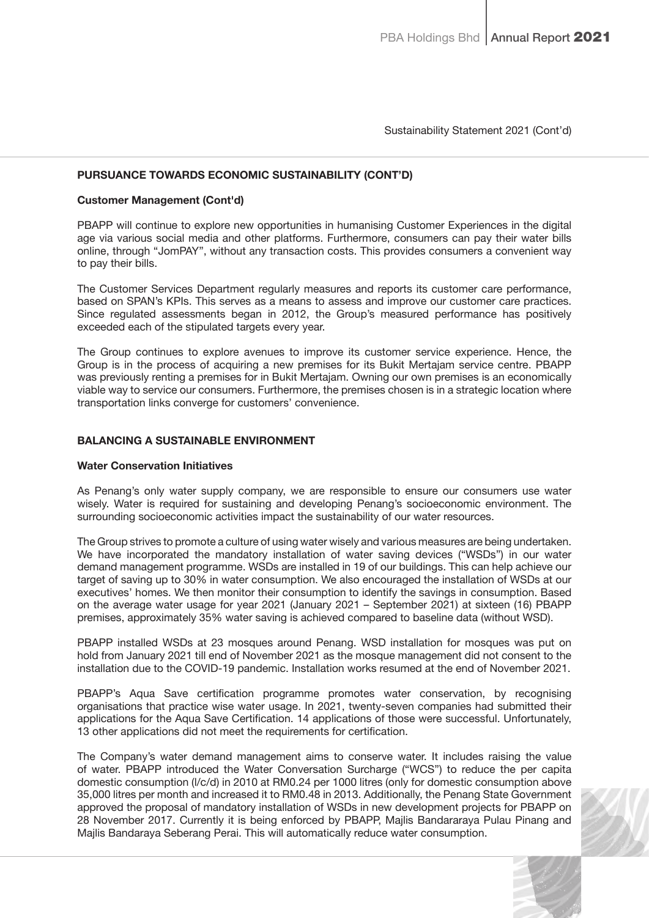## PURSUANCE TOWARDS ECONOMIC SUSTAINABILITY (CONT'D)

#### Customer Management (Cont'd)

PBAPP will continue to explore new opportunities in humanising Customer Experiences in the digital age via various social media and other platforms. Furthermore, consumers can pay their water bills online, through "JomPAY", without any transaction costs. This provides consumers a convenient way to pay their bills.

The Customer Services Department regularly measures and reports its customer care performance, based on SPAN's KPIs. This serves as a means to assess and improve our customer care practices. Since regulated assessments began in 2012, the Group's measured performance has positively exceeded each of the stipulated targets every year.

The Group continues to explore avenues to improve its customer service experience. Hence, the Group is in the process of acquiring a new premises for its Bukit Mertajam service centre. PBAPP was previously renting a premises for in Bukit Mertajam. Owning our own premises is an economically viable way to service our consumers. Furthermore, the premises chosen is in a strategic location where transportation links converge for customers' convenience.

### BALANCING A SUSTAINABLE ENVIRONMENT

#### Water Conservation Initiatives

As Penang's only water supply company, we are responsible to ensure our consumers use water wisely. Water is required for sustaining and developing Penang's socioeconomic environment. The surrounding socioeconomic activities impact the sustainability of our water resources.

The Group strives to promote a culture of using water wisely and various measures are being undertaken. We have incorporated the mandatory installation of water saving devices ("WSDs") in our water demand management programme. WSDs are installed in 19 of our buildings. This can help achieve our target of saving up to 30% in water consumption. We also encouraged the installation of WSDs at our executives' homes. We then monitor their consumption to identify the savings in consumption. Based on the average water usage for year 2021 (January 2021 – September 2021) at sixteen (16) PBAPP premises, approximately 35% water saving is achieved compared to baseline data (without WSD).

PBAPP installed WSDs at 23 mosques around Penang. WSD installation for mosques was put on hold from January 2021 till end of November 2021 as the mosque management did not consent to the installation due to the COVID-19 pandemic. Installation works resumed at the end of November 2021.

PBAPP's Aqua Save certification programme promotes water conservation, by recognising organisations that practice wise water usage. In 2021, twenty-seven companies had submitted their applications for the Aqua Save Certification. 14 applications of those were successful. Unfortunately, 13 other applications did not meet the requirements for certification.

The Company's water demand management aims to conserve water. It includes raising the value of water. PBAPP introduced the Water Conversation Surcharge ("WCS") to reduce the per capita domestic consumption (l/c/d) in 2010 at RM0.24 per 1000 litres (only for domestic consumption above 35,000 litres per month and increased it to RM0.48 in 2013. Additionally, the Penang State Government approved the proposal of mandatory installation of WSDs in new development projects for PBAPP on 28 November 2017. Currently it is being enforced by PBAPP, Majlis Bandararaya Pulau Pinang and Majlis Bandaraya Seberang Perai. This will automatically reduce water consumption.

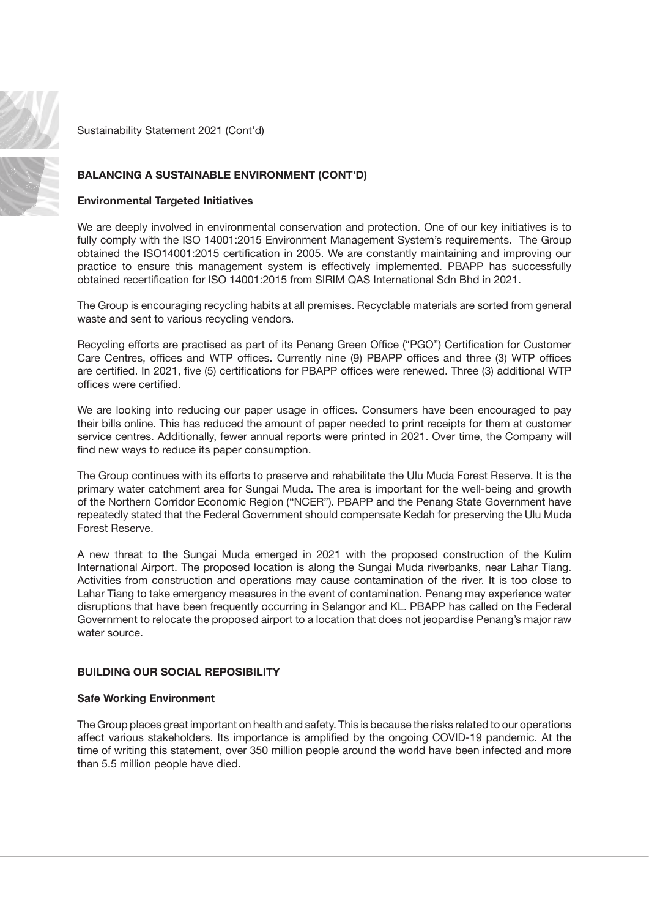

## BALANCING A SUSTAINABLE ENVIRONMENT (CONT'D)

#### Environmental Targeted Initiatives

We are deeply involved in environmental conservation and protection. One of our key initiatives is to fully comply with the ISO 14001:2015 Environment Management System's requirements. The Group obtained the ISO14001:2015 certification in 2005. We are constantly maintaining and improving our practice to ensure this management system is effectively implemented. PBAPP has successfully obtained recertification for ISO 14001:2015 from SIRIM QAS International Sdn Bhd in 2021.

The Group is encouraging recycling habits at all premises. Recyclable materials are sorted from general waste and sent to various recycling vendors.

Recycling efforts are practised as part of its Penang Green Office ("PGO") Certification for Customer Care Centres, offices and WTP offices. Currently nine (9) PBAPP offices and three (3) WTP offices are certified. In 2021, five (5) certifications for PBAPP offices were renewed. Three (3) additional WTP offices were certified.

We are looking into reducing our paper usage in offices. Consumers have been encouraged to pay their bills online. This has reduced the amount of paper needed to print receipts for them at customer service centres. Additionally, fewer annual reports were printed in 2021. Over time, the Company will find new ways to reduce its paper consumption.

The Group continues with its efforts to preserve and rehabilitate the Ulu Muda Forest Reserve. It is the primary water catchment area for Sungai Muda. The area is important for the well-being and growth of the Northern Corridor Economic Region ("NCER"). PBAPP and the Penang State Government have repeatedly stated that the Federal Government should compensate Kedah for preserving the Ulu Muda Forest Reserve.

A new threat to the Sungai Muda emerged in 2021 with the proposed construction of the Kulim International Airport. The proposed location is along the Sungai Muda riverbanks, near Lahar Tiang. Activities from construction and operations may cause contamination of the river. It is too close to Lahar Tiang to take emergency measures in the event of contamination. Penang may experience water disruptions that have been frequently occurring in Selangor and KL. PBAPP has called on the Federal Government to relocate the proposed airport to a location that does not jeopardise Penang's major raw water source.

#### BUILDING OUR SOCIAL REPOSIBILITY

#### Safe Working Environment

The Group places great important on health and safety. This is because the risks related to our operations affect various stakeholders. Its importance is amplified by the ongoing COVID-19 pandemic. At the time of writing this statement, over 350 million people around the world have been infected and more than 5.5 million people have died.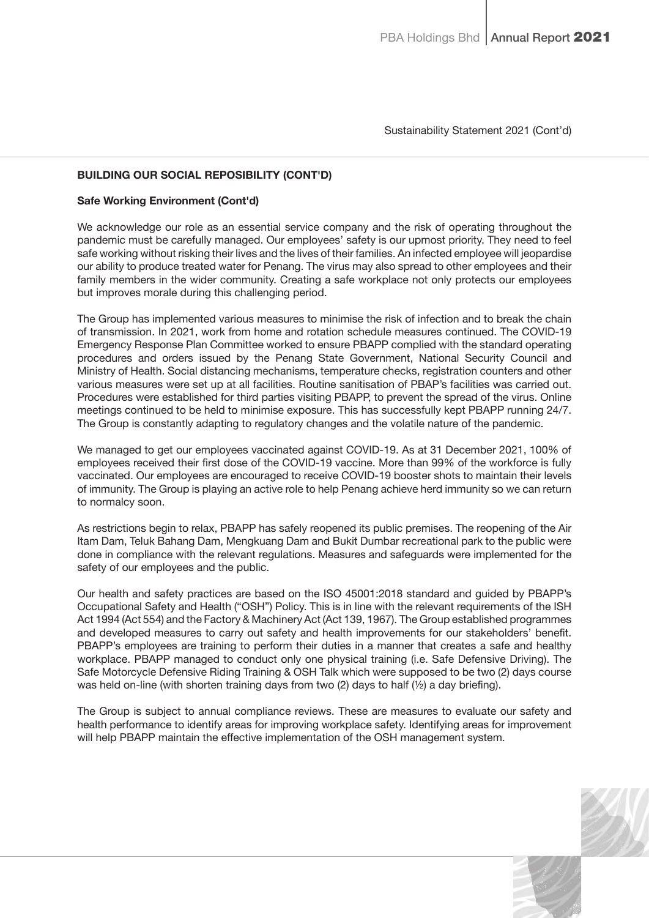## BUILDING OUR SOCIAL REPOSIBILITY (CONT'D)

#### Safe Working Environment (Cont'd)

We acknowledge our role as an essential service company and the risk of operating throughout the pandemic must be carefully managed. Our employees' safety is our upmost priority. They need to feel safe working without risking their lives and the lives of their families. An infected employee will jeopardise our ability to produce treated water for Penang. The virus may also spread to other employees and their family members in the wider community. Creating a safe workplace not only protects our employees but improves morale during this challenging period.

The Group has implemented various measures to minimise the risk of infection and to break the chain of transmission. In 2021, work from home and rotation schedule measures continued. The COVID-19 Emergency Response Plan Committee worked to ensure PBAPP complied with the standard operating procedures and orders issued by the Penang State Government, National Security Council and Ministry of Health. Social distancing mechanisms, temperature checks, registration counters and other various measures were set up at all facilities. Routine sanitisation of PBAP's facilities was carried out. Procedures were established for third parties visiting PBAPP, to prevent the spread of the virus. Online meetings continued to be held to minimise exposure. This has successfully kept PBAPP running 24/7. The Group is constantly adapting to regulatory changes and the volatile nature of the pandemic.

We managed to get our employees vaccinated against COVID-19. As at 31 December 2021, 100% of employees received their first dose of the COVID-19 vaccine. More than 99% of the workforce is fully vaccinated. Our employees are encouraged to receive COVID-19 booster shots to maintain their levels of immunity. The Group is playing an active role to help Penang achieve herd immunity so we can return to normalcy soon.

As restrictions begin to relax, PBAPP has safely reopened its public premises. The reopening of the Air Itam Dam, Teluk Bahang Dam, Mengkuang Dam and Bukit Dumbar recreational park to the public were done in compliance with the relevant regulations. Measures and safeguards were implemented for the safety of our employees and the public.

Our health and safety practices are based on the ISO 45001:2018 standard and guided by PBAPP's Occupational Safety and Health ("OSH") Policy. This is in line with the relevant requirements of the ISH Act 1994 (Act 554) and the Factory & Machinery Act (Act 139, 1967). The Group established programmes and developed measures to carry out safety and health improvements for our stakeholders' benefit. PBAPP's employees are training to perform their duties in a manner that creates a safe and healthy workplace. PBAPP managed to conduct only one physical training (i.e. Safe Defensive Driving). The Safe Motorcycle Defensive Riding Training & OSH Talk which were supposed to be two (2) days course was held on-line (with shorten training days from two (2) days to half (½) a day briefing).

The Group is subject to annual compliance reviews. These are measures to evaluate our safety and health performance to identify areas for improving workplace safety. Identifying areas for improvement will help PBAPP maintain the effective implementation of the OSH management system.

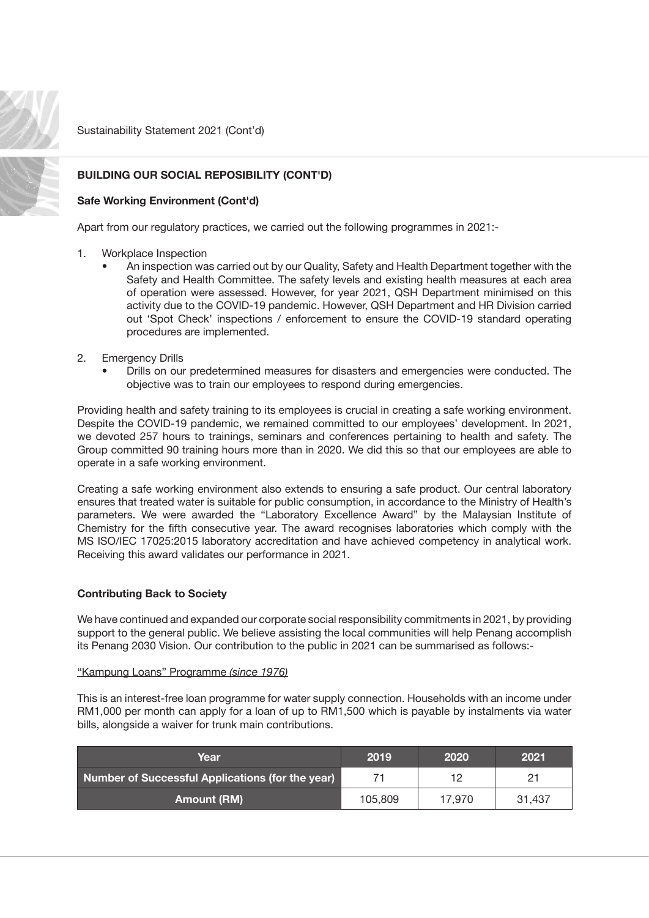

# BUILDING OUR SOCIAL REPOSIBILITY (CONT'D)

#### Safe Working Environment (Cont'd)

Apart from our regulatory practices, we carried out the following programmes in 2021:-

- 1. Workplace Inspection
	- An inspection was carried out by our Quality, Safety and Health Department together with the Safety and Health Committee. The safety levels and existing health measures at each area of operation were assessed. However, for year 2021, QSH Department minimised on this activity due to the COVID-19 pandemic. However, QSH Department and HR Division carried out 'Spot Check' inspections / enforcement to ensure the COVID-19 standard operating procedures are implemented.
- 2. Emergency Drills
	- Drills on our predetermined measures for disasters and emergencies were conducted. The objective was to train our employees to respond during emergencies.

Providing health and safety training to its employees is crucial in creating a safe working environment. Despite the COVID-19 pandemic, we remained committed to our employees' development. In 2021, we devoted 257 hours to trainings, seminars and conferences pertaining to health and safety. The Group committed 90 training hours more than in 2020. We did this so that our employees are able to operate in a safe working environment.

Creating a safe working environment also extends to ensuring a safe product. Our central laboratory ensures that treated water is suitable for public consumption, in accordance to the Ministry of Health's parameters. We were awarded the "Laboratory Excellence Award" by the Malaysian Institute of Chemistry for the fifth consecutive year. The award recognises laboratories which comply with the MS ISO/IEC 17025:2015 laboratory accreditation and have achieved competency in analytical work. Receiving this award validates our performance in 2021.

## Contributing Back to Society

We have continued and expanded our corporate social responsibility commitments in 2021, by providing support to the general public. We believe assisting the local communities will help Penang accomplish its Penang 2030 Vision. Our contribution to the public in 2021 can be summarised as follows:-

#### "Kampung Loans" Programme (since 1976)

This is an interest-free loan programme for water supply connection. Households with an income under RM1,000 per month can apply for a loan of up to RM1,500 which is payable by instalments via water bills, alongside a waiver for trunk main contributions.

| Year                                             | 2019    | 2020   | 2021   |
|--------------------------------------------------|---------|--------|--------|
| Number of Successful Applications (for the year) |         | 12     | 21     |
| <b>Amount (RM)</b>                               | 105,809 | 17.970 | 31,437 |